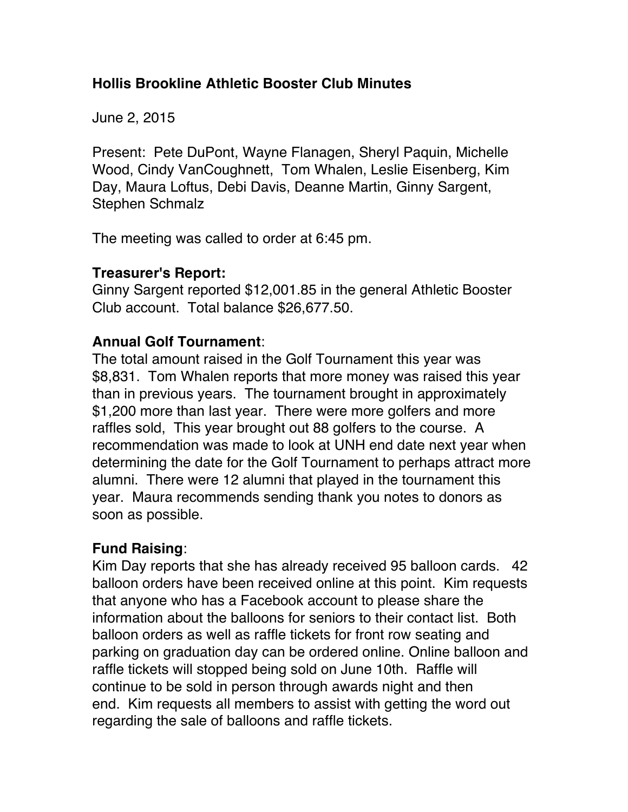### **Hollis Brookline Athletic Booster Club Minutes**

June 2, 2015

Present: Pete DuPont, Wayne Flanagen, Sheryl Paquin, Michelle Wood, Cindy VanCoughnett, Tom Whalen, Leslie Eisenberg, Kim Day, Maura Loftus, Debi Davis, Deanne Martin, Ginny Sargent, Stephen Schmalz

The meeting was called to order at 6:45 pm.

### **Treasurer's Report:**

Ginny Sargent reported \$12,001.85 in the general Athletic Booster Club account. Total balance \$26,677.50.

### **Annual Golf Tournament**:

The total amount raised in the Golf Tournament this year was \$8,831. Tom Whalen reports that more money was raised this year than in previous years. The tournament brought in approximately \$1,200 more than last year. There were more golfers and more raffles sold, This year brought out 88 golfers to the course. A recommendation was made to look at UNH end date next year when determining the date for the Golf Tournament to perhaps attract more alumni. There were 12 alumni that played in the tournament this year. Maura recommends sending thank you notes to donors as soon as possible.

# **Fund Raising**:

Kim Day reports that she has already received 95 balloon cards. 42 balloon orders have been received online at this point. Kim requests that anyone who has a Facebook account to please share the information about the balloons for seniors to their contact list. Both balloon orders as well as raffle tickets for front row seating and parking on graduation day can be ordered online. Online balloon and raffle tickets will stopped being sold on June 10th. Raffle will continue to be sold in person through awards night and then end. Kim requests all members to assist with getting the word out regarding the sale of balloons and raffle tickets.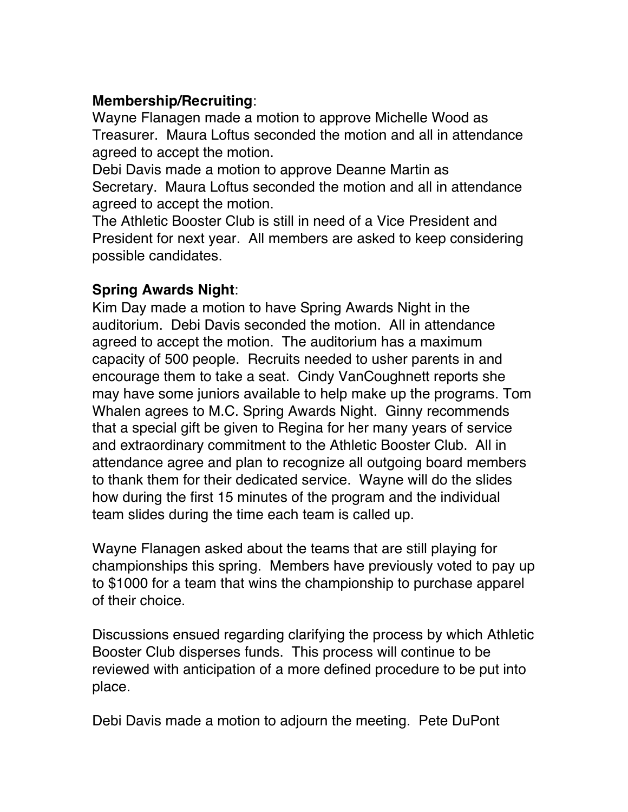## **Membership/Recruiting**:

Wayne Flanagen made a motion to approve Michelle Wood as Treasurer. Maura Loftus seconded the motion and all in attendance agreed to accept the motion.

Debi Davis made a motion to approve Deanne Martin as Secretary. Maura Loftus seconded the motion and all in attendance agreed to accept the motion.

The Athletic Booster Club is still in need of a Vice President and President for next year. All members are asked to keep considering possible candidates.

### **Spring Awards Night**:

Kim Day made a motion to have Spring Awards Night in the auditorium. Debi Davis seconded the motion. All in attendance agreed to accept the motion. The auditorium has a maximum capacity of 500 people. Recruits needed to usher parents in and encourage them to take a seat. Cindy VanCoughnett reports she may have some juniors available to help make up the programs. Tom Whalen agrees to M.C. Spring Awards Night. Ginny recommends that a special gift be given to Regina for her many years of service and extraordinary commitment to the Athletic Booster Club. All in attendance agree and plan to recognize all outgoing board members to thank them for their dedicated service. Wayne will do the slides how during the first 15 minutes of the program and the individual team slides during the time each team is called up.

Wayne Flanagen asked about the teams that are still playing for championships this spring. Members have previously voted to pay up to \$1000 for a team that wins the championship to purchase apparel of their choice.

Discussions ensued regarding clarifying the process by which Athletic Booster Club disperses funds. This process will continue to be reviewed with anticipation of a more defined procedure to be put into place.

Debi Davis made a motion to adjourn the meeting. Pete DuPont